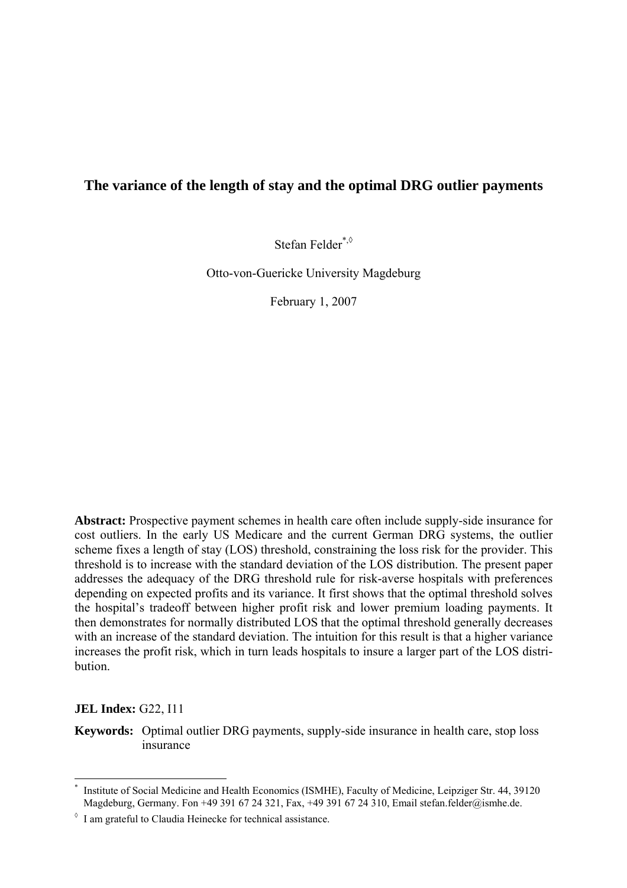# **The variance of the length of stay and the optimal DRG outlier payments**

Stefan Felder[\\*,](#page-0-0)[◊](#page-0-1)

Otto-von-Guericke University Magdeburg

February 1, 2007

**Abstract:** Prospective payment schemes in health care often include supply-side insurance for cost outliers. In the early US Medicare and the current German DRG systems, the outlier scheme fixes a length of stay (LOS) threshold, constraining the loss risk for the provider. This threshold is to increase with the standard deviation of the LOS distribution. The present paper addresses the adequacy of the DRG threshold rule for risk-averse hospitals with preferences depending on expected profits and its variance. It first shows that the optimal threshold solves the hospital's tradeoff between higher profit risk and lower premium loading payments. It then demonstrates for normally distributed LOS that the optimal threshold generally decreases with an increase of the standard deviation. The intuition for this result is that a higher variance increases the profit risk, which in turn leads hospitals to insure a larger part of the LOS distribution.

**JEL Index:** G22, I11

1

**Keywords:** Optimal outlier DRG payments, supply-side insurance in health care, stop loss insurance

<span id="page-0-0"></span><sup>\*</sup> Institute of Social Medicine and Health Economics (ISMHE), Faculty of Medicine, Leipziger Str. 44, 39120 Magdeburg, Germany. Fon +49 391 67 24 321, Fax, +49 391 67 24 310, Email stefan.felder@ismhe.de.

<span id="page-0-1"></span> $\delta$  I am grateful to Claudia Heinecke for technical assistance.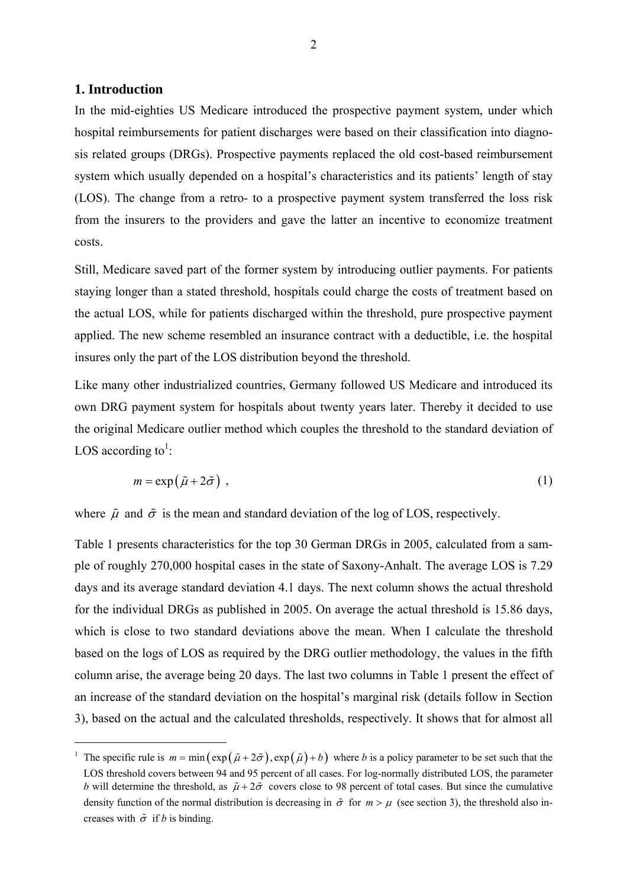# **1. Introduction**

1

In the mid-eighties US Medicare introduced the prospective payment system, under which hospital reimbursements for patient discharges were based on their classification into diagnosis related groups (DRGs). Prospective payments replaced the old cost-based reimbursement system which usually depended on a hospital's characteristics and its patients' length of stay (LOS). The change from a retro- to a prospective payment system transferred the loss risk from the insurers to the providers and gave the latter an incentive to economize treatment costs.

Still, Medicare saved part of the former system by introducing outlier payments. For patients staying longer than a stated threshold, hospitals could charge the costs of treatment based on the actual LOS, while for patients discharged within the threshold, pure prospective payment applied. The new scheme resembled an insurance contract with a deductible, i.e. the hospital insures only the part of the LOS distribution beyond the threshold.

Like many other industrialized countries, Germany followed US Medicare and introduced its own DRG payment system for hospitals about twenty years later. Thereby it decided to use the original Medicare outlier method which couples the threshold to the standard deviation of LOS according to<sup>1</sup>:

<span id="page-1-1"></span>
$$
m = \exp(\tilde{\mu} + 2\tilde{\sigma}) \tag{1}
$$

where  $\tilde{\mu}$  and  $\tilde{\sigma}$  is the mean and standard deviation of the log of LOS, respectively.

Table 1 presents characteristics for the top 30 German DRGs in 2005, calculated from a sample of roughly 270,000 hospital cases in the state of Saxony-Anhalt. The average LOS is 7.29 days and its average standard deviation 4.1 days. The next column shows the actual threshold for the individual DRGs as published in 2005. On average the actual threshold is 15.86 days, which is close to two standard deviations above the mean. When I calculate the threshold based on the logs of LOS as required by the DRG outlier methodology, the values in the fifth column arise, the average being 20 days. The last two columns in Table 1 present the effect of an increase of the standard deviation on the hospital's marginal risk (details follow in Section 3), based on the actual and the calculated thresholds, respectively. It shows that for almost all

<span id="page-1-0"></span><sup>&</sup>lt;sup>1</sup> The specific rule is  $m = \min(\exp(\tilde{\mu} + 2\tilde{\sigma}), \exp(\tilde{\mu}) + b)$  where *b* is a policy parameter to be set such that the LOS threshold covers between 94 and 95 percent of all cases. For log-normally distributed LOS, the parameter *b* will determine the threshold, as  $\tilde{\mu} + 2\tilde{\sigma}$  covers close to 98 percent of total cases. But since the cumulative density function of the normal distribution is decreasing in  $\tilde{\sigma}$  for  $m > u$  (see section 3), the threshold also increases with  $\tilde{\sigma}$  if *b* is binding.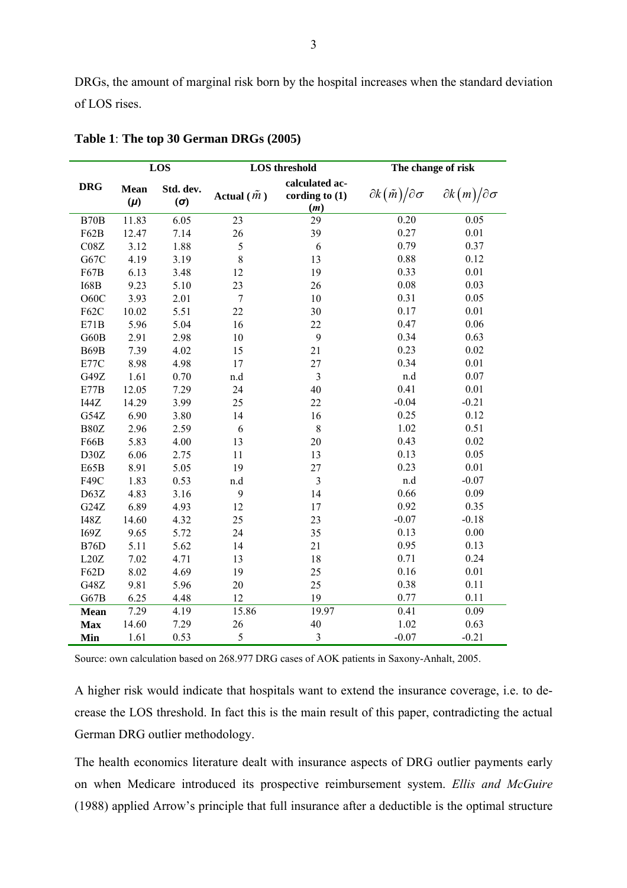DRGs, the amount of marginal risk born by the hospital increases when the standard deviation of LOS rises.

|             | LOS                    |                  | <b>LOS</b> threshold |                                           | The change of risk                      |                                 |
|-------------|------------------------|------------------|----------------------|-------------------------------------------|-----------------------------------------|---------------------------------|
| <b>DRG</b>  | <b>Mean</b><br>$(\mu)$ | Std. dev.<br>(0) | Actual $(\tilde{m})$ | calculated ac-<br>cording to $(1)$<br>(m) | $\partial k(\tilde{m})/\partial \sigma$ | $\partial k(m)/\partial \sigma$ |
| <b>B70B</b> | 11.83                  | 6.05             | 23                   | 29                                        | 0.20                                    | 0.05                            |
| F62B        | 12.47                  | 7.14             | 26                   | 39                                        | 0.27                                    | 0.01                            |
| C08Z        | 3.12                   | 1.88             | 5                    | 6                                         | 0.79                                    | 0.37                            |
| G67C        | 4.19                   | 3.19             | 8                    | 13                                        | 0.88                                    | 0.12                            |
| F67B        | 6.13                   | 3.48             | 12                   | 19                                        | 0.33                                    | 0.01                            |
| <b>I68B</b> | 9.23                   | 5.10             | 23                   | 26                                        | 0.08                                    | 0.03                            |
| O60C        | 3.93                   | 2.01             | $\overline{7}$       | 10                                        | 0.31                                    | 0.05                            |
| F62C        | 10.02                  | 5.51             | 22                   | 30                                        | 0.17                                    | 0.01                            |
| E71B        | 5.96                   | 5.04             | 16                   | 22                                        | 0.47                                    | 0.06                            |
| G60B        | 2.91                   | 2.98             | 10                   | 9                                         | 0.34                                    | 0.63                            |
| B69B        | 7.39                   | 4.02             | 15                   | 21                                        | 0.23                                    | 0.02                            |
| E77C        | 8.98                   | 4.98             | 17                   | 27                                        | 0.34                                    | 0.01                            |
| G49Z        | 1.61                   | 0.70             | n.d                  | 3                                         | n.d                                     | 0.07                            |
| E77B        | 12.05                  | 7.29             | 24                   | 40                                        | 0.41                                    | 0.01                            |
| I44Z        | 14.29                  | 3.99             | 25                   | 22                                        | $-0.04$                                 | $-0.21$                         |
| G54Z        | 6.90                   | 3.80             | 14                   | 16                                        | 0.25                                    | 0.12                            |
| B80Z        | 2.96                   | 2.59             | 6                    | $\,8\,$                                   | 1.02                                    | 0.51                            |
| F66B        | 5.83                   | 4.00             | 13                   | 20                                        | 0.43                                    | 0.02                            |
| D30Z        | 6.06                   | 2.75             | 11                   | 13                                        | 0.13                                    | 0.05                            |
| E65B        | 8.91                   | 5.05             | 19                   | 27                                        | 0.23                                    | 0.01                            |
| F49C        | 1.83                   | 0.53             | n.d                  | 3                                         | n.d                                     | $-0.07$                         |
| D63Z        | 4.83                   | 3.16             | 9                    | 14                                        | 0.66                                    | 0.09                            |
| G24Z        | 6.89                   | 4.93             | 12                   | 17                                        | 0.92                                    | 0.35                            |
| <b>I48Z</b> | 14.60                  | 4.32             | 25                   | 23                                        | $-0.07$                                 | $-0.18$                         |
| I69Z        | 9.65                   | 5.72             | 24                   | 35                                        | 0.13                                    | 0.00                            |
| B76D        | 5.11                   | 5.62             | 14                   | 21                                        | 0.95                                    | 0.13                            |
| L20Z        | 7.02                   | 4.71             | 13                   | 18                                        | 0.71                                    | 0.24                            |
| F62D        | 8.02                   | 4.69             | 19                   | 25                                        | 0.16                                    | 0.01                            |
| G48Z        | 9.81                   | 5.96             | 20                   | 25                                        | 0.38                                    | 0.11                            |
| G67B        | 6.25                   | 4.48             | 12                   | 19                                        | 0.77                                    | 0.11                            |
| <b>Mean</b> | 7.29                   | 4.19             | 15.86                | 19.97                                     | 0.41                                    | 0.09                            |
| <b>Max</b>  | 14.60                  | 7.29             | 26                   | 40                                        | 1.02                                    | 0.63                            |
| Min         | 1.61                   | 0.53             | 5                    | $\mathfrak{Z}$                            | $-0.07$                                 | $-0.21$                         |

**Table 1**: **The top 30 German DRGs (2005)** 

Source: own calculation based on 268.977 DRG cases of AOK patients in Saxony-Anhalt, 2005.

A higher risk would indicate that hospitals want to extend the insurance coverage, i.e. to decrease the LOS threshold. In fact this is the main result of this paper, contradicting the actual German DRG outlier methodology.

The health economics literature dealt with insurance aspects of DRG outlier payments early on when Medicare introduced its prospective reimbursement system. *Ellis and McGuire* (1988) applied Arrow's principle that full insurance after a deductible is the optimal structure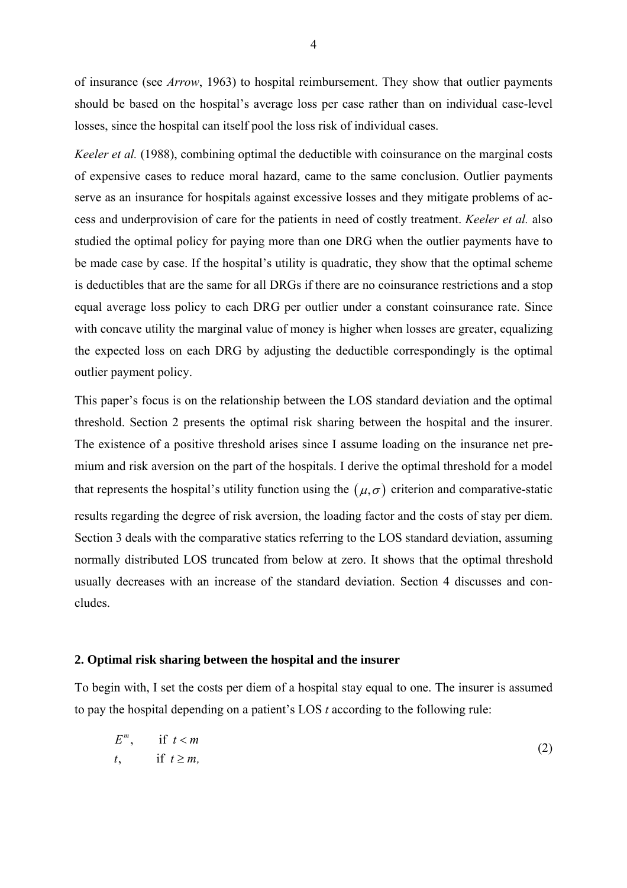of insurance (see *Arrow*, 1963) to hospital reimbursement. They show that outlier payments should be based on the hospital's average loss per case rather than on individual case-level losses, since the hospital can itself pool the loss risk of individual cases.

*Keeler et al.* (1988), combining optimal the deductible with coinsurance on the marginal costs of expensive cases to reduce moral hazard, came to the same conclusion. Outlier payments serve as an insurance for hospitals against excessive losses and they mitigate problems of access and underprovision of care for the patients in need of costly treatment. *Keeler et al.* also studied the optimal policy for paying more than one DRG when the outlier payments have to be made case by case. If the hospital's utility is quadratic, they show that the optimal scheme is deductibles that are the same for all DRGs if there are no coinsurance restrictions and a stop equal average loss policy to each DRG per outlier under a constant coinsurance rate. Since with concave utility the marginal value of money is higher when losses are greater, equalizing the expected loss on each DRG by adjusting the deductible correspondingly is the optimal outlier payment policy.

This paper's focus is on the relationship between the LOS standard deviation and the optimal threshold. Section 2 presents the optimal risk sharing between the hospital and the insurer. The existence of a positive threshold arises since I assume loading on the insurance net premium and risk aversion on the part of the hospitals. I derive the optimal threshold for a model that represents the hospital's utility function using the  $(\mu, \sigma)$  criterion and comparative-static results regarding the degree of risk aversion, the loading factor and the costs of stay per diem. Section 3 deals with the comparative statics referring to the LOS standard deviation, assuming normally distributed LOS truncated from below at zero. It shows that the optimal threshold usually decreases with an increase of the standard deviation. Section 4 discusses and concludes.

#### **2. Optimal risk sharing between the hospital and the insurer**

To begin with, I set the costs per diem of a hospital stay equal to one. The insurer is assumed to pay the hospital depending on a patient's LOS *t* according to the following rule:

<span id="page-3-0"></span>
$$
E^m, \quad \text{if } t < m
$$
\n
$$
t, \quad \text{if } t \ge m,
$$
\n
$$
(2)
$$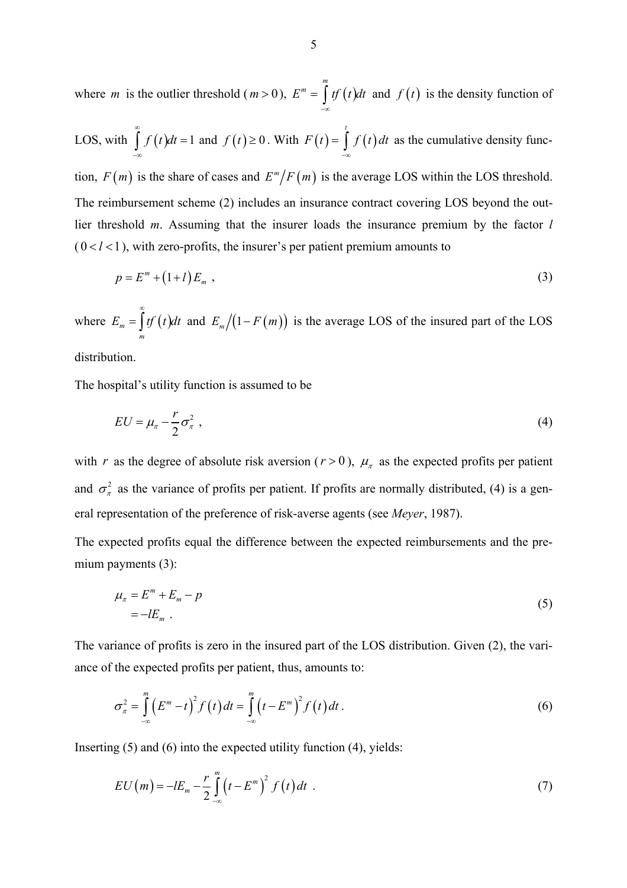where *m* is the outlier threshold  $(m>0)$ ,  $E^m = \int tf(t)dt$  and *m*  $E^m = \int tf(t)$  $=\int_{-\infty}^{x} tf(t)dt$  and  $f(t)$  is the density function of

LOS, with 
$$
\int_{-\infty}^{\infty} f(t)dt = 1
$$
 and  $f(t) \ge 0$ . With  $F(t) = \int_{-\infty}^{t} f(t)dt$  as the cumulative density func-

tion,  $F(m)$  is the share of cases and  $E^m/F(m)$  is the average LOS within the LOS threshold. The reimbursement scheme [\(2\)](#page-3-0) includes an insurance contract covering LOS beyond the outlier threshold *m*. Assuming that the insurer loads the insurance premium by the factor *l*  $(0 < l < 1)$ , with zero-profits, the insurer's per patient premium amounts to

<span id="page-4-1"></span>
$$
p = Em + (1+l)Em , \t\t(3)
$$

where  $E_m = \int tf(t)dt$  and *m*  $E_m = \frac{f}{f}$  *tf*  $\left(t \right)$ ∞  $=\int tf(t)dt$  and  $E_m/(1-F(m))$  is the average LOS of the insured part of the LOS

distribution.

The hospital's utility function is assumed to be

<span id="page-4-0"></span>
$$
EU = \mu_{\pi} - \frac{r}{2}\sigma_{\pi}^2 \tag{4}
$$

with *r* as the degree of absolute risk aversion ( $r > 0$ ),  $\mu_{\pi}$  as the expected profits per patient and  $\sigma_{\pi}^2$  as the variance of profits per patient. If profits are normally distributed, [\(4\)](#page-4-0) is a general representation of the preference of risk-averse agents (see *Meyer*, 1987).

The expected profits equal the difference between the expected reimbursements and the pre-mium payments [\(3\):](#page-4-1)

<span id="page-4-2"></span>
$$
\mu_{\pi} = E^m + E_m - p
$$
  
=  $-lE_m$ . (5)

The variance of profits is zero in the insured part of the LOS distribution. Given [\(2\),](#page-3-0) the variance of the expected profits per patient, thus, amounts to:

<span id="page-4-3"></span>
$$
\sigma_{\pi}^{2} = \int_{-\infty}^{m} (E^{m} - t)^{2} f(t) dt = \int_{-\infty}^{m} (t - E^{m})^{2} f(t) dt.
$$
 (6)

Inserting [\(5\)](#page-4-2) and [\(6\)](#page-4-3) into the expected utility function [\(4\),](#page-4-0) yields:

$$
EU(m) = -lE_m - \frac{r}{2} \int_{-\infty}^{m} \left( t - E^m \right)^2 f(t) dt \quad . \tag{7}
$$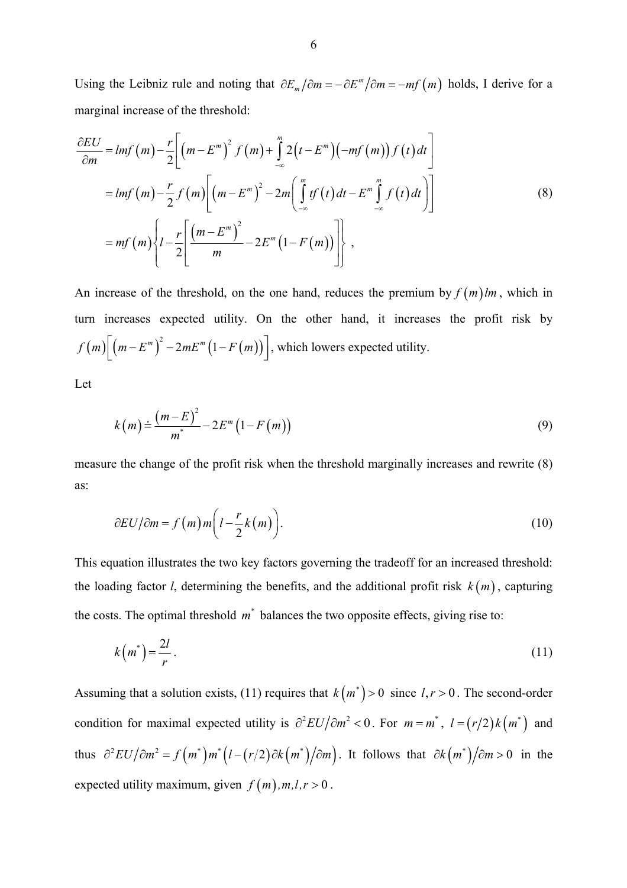Using the Leibniz rule and noting that  $\partial E_m / \partial m = -\partial E^m / \partial m = -mf(m)$  holds, I derive for a marginal increase of the threshold:

<span id="page-5-0"></span>
$$
\frac{\partial EU}{\partial m} = Imf(m) - \frac{r}{2} \bigg[ \big(m - E^m\big)^2 f(m) + \int_{-\infty}^m 2\big(t - E^m\big) \big(-mf(m)\big) f(t) dt \bigg]
$$

$$
= Imf(m) - \frac{r}{2} f(m) \bigg[ \big(m - E^m\big)^2 - 2m \bigg( \int_{-\infty}^m tf(t) dt - E^m \int_{-\infty}^m f(t) dt \bigg) \bigg]
$$

$$
= mf(m) \bigg\{ l - \frac{r}{2} \bigg[ \frac{\big(m - E^m\big)^2}{m} - 2E^m \big(1 - F(m)\big) \bigg] \bigg\} ,
$$
(8)

 $f(m) \left[ \left( m - E^m \right)^2 - 2mE^m \left( 1 - F(m) \right) \right]$ , which lowers expected utility. An increase of the threshold, on the one hand, reduces the premium by  $f(m)lm$ , which in turn increases expected utility. On the other hand, it increases the profit risk by

Let

<span id="page-5-2"></span>
$$
k(m) \doteq \frac{(m-E)^2}{m^*} - 2E^m(1-F(m))
$$
\n(9)

measure the change of the profit risk when the threshold marginally increases and rewrite [\(8\)](#page-5-0) as:

<span id="page-5-3"></span>
$$
\partial EU/\partial m = f(m)m\bigg(l - \frac{r}{2}k(m)\bigg). \tag{10}
$$

This equation illustrates the two key factors governing the tradeoff for an increased threshold: the loading factor *l*, determining the benefits, and the additional profit risk  $k(m)$ , capturing the costs. The optimal threshold  $m^*$  balances the two opposite effects, giving rise to:

<span id="page-5-1"></span>
$$
k\left(m^*\right) = \frac{2l}{r} \tag{11}
$$

Assuming that a solution exists, [\(11\)](#page-5-1) requires that  $k(m^*)$  > 0 since  $l, r > 0$ . The second-order condition for maximal expected utility is  $\partial^2 EU / \partial m^2 < 0$ . For  $m = m^*$ ,  $l = (r/2)k(m^*)$  and thus  $\partial^2 EU / \partial m^2 = f(m^*) m^* (l - (r/2) \partial k(m^*) / \partial m)$ . It follows that  $\partial k(m^*) / \partial m > 0$  in the expected utility maximum, given  $f(m)$ ,  $m, l, r > 0$ .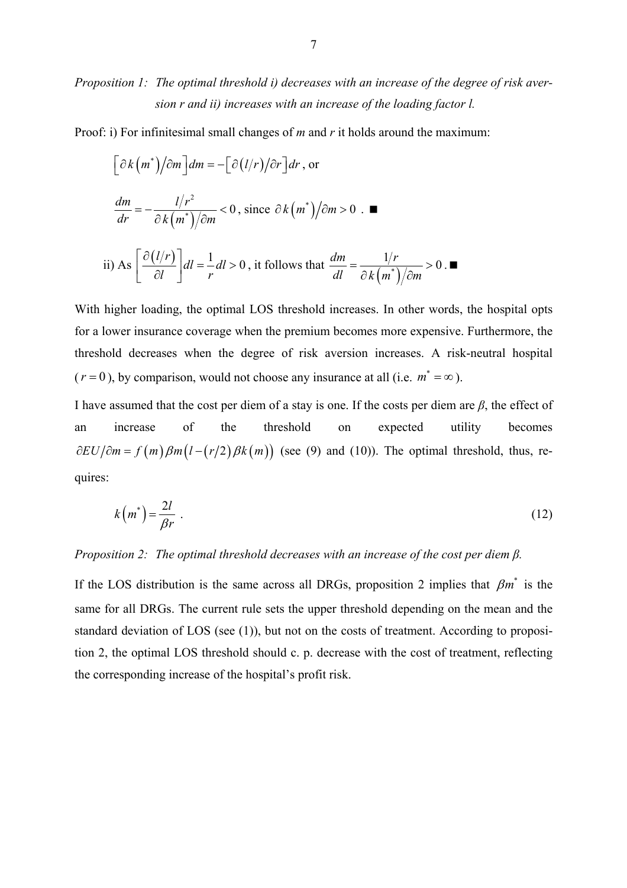*Proposition 1: The optimal threshold i) decreases with an increase of the degree of risk aversion r and ii) increases with an increase of the loading factor l.* 

Proof: i) For infinitesimal small changes of *m* and *r* it holds around the maximum:

$$
\left[\frac{\partial k(m^*)}{\partial m}\right]dm = -\left[\frac{\partial (l/r)}{\partial r}\right]dr, \text{ or}
$$
\n
$$
\frac{dm}{dr} = -\frac{l/r^2}{\partial k(m^*)/\partial m} < 0, \text{ since } \partial k(m^*)/\partial m > 0. \blacksquare
$$
\nii) As

\n
$$
\left[\frac{\partial (l/r)}{\partial l}\right]dl = \frac{1}{r}dl > 0, \text{ it follows that } \frac{dm}{dl} = \frac{1/r}{\partial k(m^*)/\partial m} > 0. \blacksquare
$$

With higher loading, the optimal LOS threshold increases. In other words, the hospital opts for a lower insurance coverage when the premium becomes more expensive. Furthermore, the threshold decreases when the degree of risk aversion increases. A risk-neutral hospital  $(r = 0)$ , by comparison, would not choose any insurance at all (i.e.  $m^* = \infty$ ).

I have assumed that the cost per diem of a stay is one. If the costs per diem are *β*, the effect of an increase of the threshold on expected utility becomes  $\partial EU/\partial m = f(m)\beta m (l - (r/2)\beta k(m))$  (see [\(9\)](#page-5-2) and [\(10\)\)](#page-5-3). The optimal threshold, thus, requires:

$$
k(m^*) = \frac{2l}{\beta r} \tag{12}
$$

#### *Proposition 2: The optimal threshold decreases with an increase of the cost per diem β.*

If the LOS distribution is the same across all DRGs, proposition 2 implies that  $\beta m^*$  is the same for all DRGs. The current rule sets the upper threshold depending on the mean and the standard deviation of LOS (see [\(1\)\)](#page-1-1), but not on the costs of treatment. According to proposition 2, the optimal LOS threshold should c. p. decrease with the cost of treatment, reflecting the corresponding increase of the hospital's profit risk.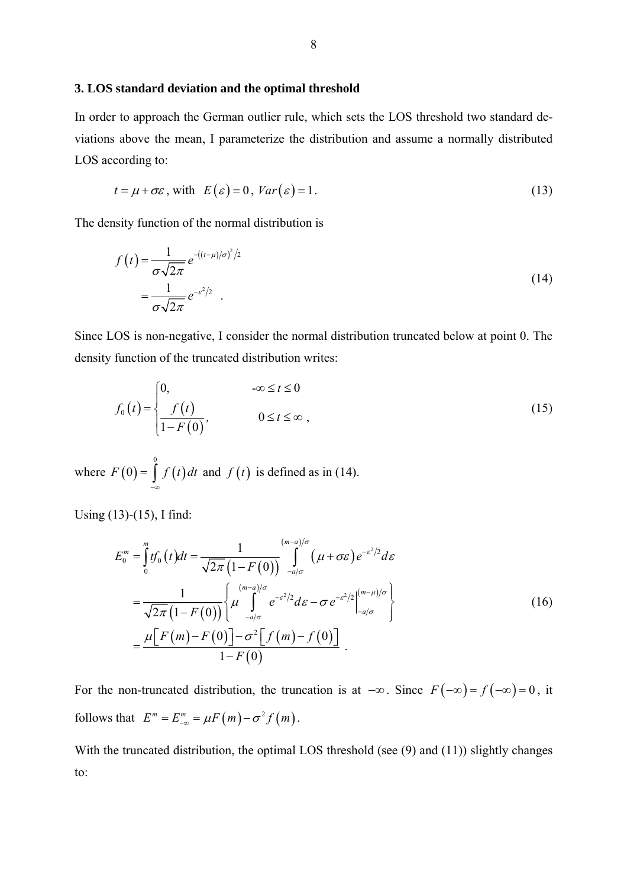#### **3. LOS standard deviation and the optimal threshold**

In order to approach the German outlier rule, which sets the LOS threshold two standard deviations above the mean, I parameterize the distribution and assume a normally distributed LOS according to:

<span id="page-7-1"></span>
$$
t = \mu + \sigma \varepsilon, \text{ with } E(\varepsilon) = 0, \text{Var}(\varepsilon) = 1. \tag{13}
$$

The density function of the normal distribution is

<span id="page-7-0"></span>
$$
f(t) = \frac{1}{\sigma\sqrt{2\pi}} e^{-((t-\mu)/\sigma)^2/2}
$$
  
= 
$$
\frac{1}{\sigma\sqrt{2\pi}} e^{-\varepsilon^2/2} .
$$
 (14)

Since LOS is non-negative, I consider the normal distribution truncated below at point 0. The density function of the truncated distribution writes:

<span id="page-7-2"></span>
$$
f_0(t) = \begin{cases} 0, & -\infty \le t \le 0 \\ \frac{f(t)}{1 - F(0)}, & 0 \le t \le \infty, \end{cases}
$$
 (15)

where  $F(0) = \int f(t) dt$  and  $f(t)$  is defined as in [\(14\).](#page-7-0)  $\boldsymbol{0}$  $F(0) = | f(t)$  $=\int_{-\infty}^{x} f(t) dt$  and  $f(t)$ 

Using [\(13\)-](#page-7-1)[\(15\),](#page-7-2) I find:

<span id="page-7-3"></span>
$$
E_0^m = \int_0^m tf_0(t)dt = \frac{1}{\sqrt{2\pi}(1-F(0))} \int_{-a/\sigma}^{(m-a)/\sigma} (\mu + \sigma \varepsilon) e^{-\varepsilon^2/2} d\varepsilon
$$
  
= 
$$
\frac{1}{\sqrt{2\pi}(1-F(0))} \left\{ \mu \int_{-a/\sigma}^{(m-a)/\sigma} e^{-\varepsilon^2/2} d\varepsilon - \sigma e^{-\varepsilon^2/2} \Big|_{-a/\sigma}^{(m-\mu)/\sigma} \right\}
$$
  
= 
$$
\frac{\mu[F(m)-F(0)] - \sigma^2[f(m)-f(0)]}{1-F(0)}.
$$
 (16)

For the non-truncated distribution, the truncation is at  $-\infty$ . Since  $F(-\infty) = f(-\infty) = 0$ , it follows that  $E^m = E^m_{-\infty} = \mu F(m) - \sigma^2 f(m)$ .

With the truncated distribution, the optimal LOS threshold (see [\(9\)](#page-5-2) and [\(11\)\)](#page-5-1) slightly changes to: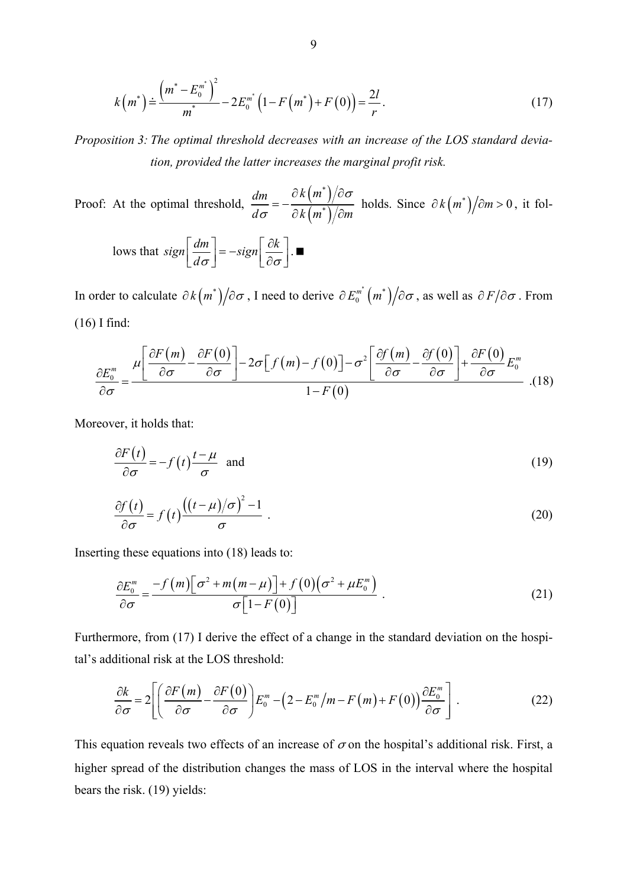<span id="page-8-1"></span>
$$
k(m^*) \doteq \frac{\left(m^* - E_0^{m^*}\right)^2}{m^*} - 2E_0^{m^*} \left(1 - F\left(m^*\right) + F\left(0\right)\right) = \frac{2l}{r}.
$$
\n(17)

*Proposition 3: The optimal threshold decreases with an increase of the LOS standard deviation, provided the latter increases the marginal profit risk.* 

Proof: At the optimal threshold,  $\frac{dm}{dt} = -\frac{\partial k(m)}{\partial k(m)}$  $(m<sup>2</sup>)$ *\* \* dm k m*  $d\sigma$   $\partial k(m^*)/\partial m$ σ  $\frac{dm}{\sigma} = -\frac{\partial \, k\left(\, m^{\ast}\,\right)\,/\partial}{\partial \, k\left(\, m^{\ast}\,\right) / \partial}$ holds. Since  $\partial k (m^*) / \partial m > 0$ , it fol-

lows that 
$$
sign\left[\frac{dm}{d\sigma}\right] = -sign\left[\frac{\partial k}{\partial \sigma}\right]
$$
.

In order to calculate  $\partial k(m^*)/\partial \sigma$ , I need to derive  $\partial E_0^{m^*}(m^*)/\partial \sigma$ , as well as  $\partial F/\partial \sigma$ . From [\(16\)](#page-7-3) I find:

$$
\frac{\partial E_0^m}{\partial \sigma} = \frac{\mu \left[ \frac{\partial F(m)}{\partial \sigma} - \frac{\partial F(0)}{\partial \sigma} \right] - 2\sigma \left[ f(m) - f(0) \right] - \sigma^2 \left[ \frac{\partial f(m)}{\partial \sigma} - \frac{\partial f(0)}{\partial \sigma} \right] + \frac{\partial F(0)}{\partial \sigma} E_0^m}{1 - F(0)} \tag{18}
$$

Moreover, it holds that:

<span id="page-8-2"></span><span id="page-8-0"></span>
$$
\frac{\partial F(t)}{\partial \sigma} = -f(t)\frac{t-\mu}{\sigma} \quad \text{and} \tag{19}
$$

$$
\frac{\partial f(t)}{\partial \sigma} = f(t) \frac{\left( (t - \mu)/\sigma \right)^2 - 1}{\sigma} \tag{20}
$$

Inserting these equations into [\(18\)](#page-8-0) leads to:

<span id="page-8-4"></span>
$$
\frac{\partial E_0^m}{\partial \sigma} = \frac{-f(m)\left[\sigma^2 + m(m-\mu)\right] + f(0)\left(\sigma^2 + \mu E_0^m\right)}{\sigma \left[1 - F(0)\right]} \tag{21}
$$

Furthermore, from [\(17\)](#page-8-1) I derive the effect of a change in the standard deviation on the hospital's additional risk at the LOS threshold:

<span id="page-8-3"></span>
$$
\frac{\partial k}{\partial \sigma} = 2 \left[ \left( \frac{\partial F(m)}{\partial \sigma} - \frac{\partial F(0)}{\partial \sigma} \right) E_0^m - \left( 2 - E_0^m / m - F(m) + F(0) \right) \frac{\partial E_0^m}{\partial \sigma} \right].
$$
\n(22)

This equation reveals two effects of an increase of  $\sigma$  on the hospital's additional risk. First, a higher spread of the distribution changes the mass of LOS in the interval where the hospital bears the risk. [\(19\)](#page-8-2) yields: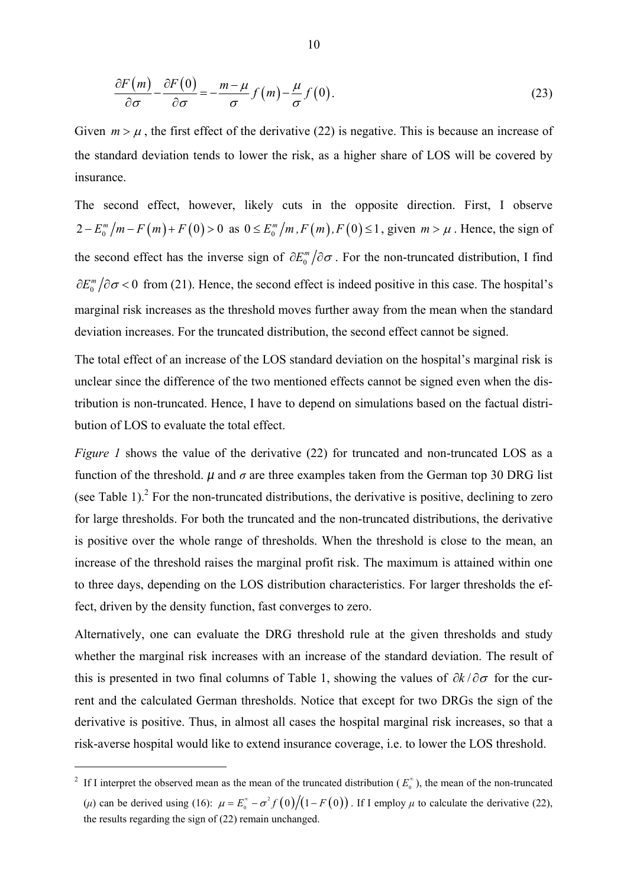$$
\frac{\partial F(m)}{\partial \sigma} - \frac{\partial F(0)}{\partial \sigma} = -\frac{m - \mu}{\sigma} f(m) - \frac{\mu}{\sigma} f(0). \tag{23}
$$

Given  $m > \mu$ , the first effect of the derivative [\(22\)](#page-8-3) is negative. This is because an increase of the standard deviation tends to lower the risk, as a higher share of LOS will be covered by insurance.

The second effect, however, likely cuts in the opposite direction. First, I observe  $2 - E_0^m / m - F(m) + F(0) > 0$  as  $0 \le E_0^m / m$ ,  $F(m)$ ,  $F(0) \le 1$ , given  $m > \mu$ . Hence, the sign of the second effect has the inverse sign of  $\partial E_0^m / \partial \sigma$ . For the non-truncated distribution, I find  $\partial E_0^m / \partial \sigma$  < 0 from [\(21\).](#page-8-4) Hence, the second effect is indeed positive in this case. The hospital's marginal risk increases as the threshold moves further away from the mean when the standard deviation increases. For the truncated distribution, the second effect cannot be signed.

The total effect of an increase of the LOS standard deviation on the hospital's marginal risk is unclear since the difference of the two mentioned effects cannot be signed even when the distribution is non-truncated. Hence, I have to depend on simulations based on the factual distribution of LOS to evaluate the total effect.

*Figure 1* shows the value of the derivative [\(22\)](#page-8-3) for truncated and non-truncated LOS as a function of the threshold.  $\mu$  and  $\sigma$  are three examples taken from the German top 30 DRG list (seeTable 1).<sup>2</sup> For the non-truncated distributions, the derivative is positive, declining to zero for large thresholds. For both the truncated and the non-truncated distributions, the derivative is positive over the whole range of thresholds. When the threshold is close to the mean, an increase of the threshold raises the marginal profit risk. The maximum is attained within one to three days, depending on the LOS distribution characteristics. For larger thresholds the effect, driven by the density function, fast converges to zero.

Alternatively, one can evaluate the DRG threshold rule at the given thresholds and study whether the marginal risk increases with an increase of the standard deviation. The result of this is presented in two final columns of Table 1, showing the values of ∂*k* / ∂σ for the current and the calculated German thresholds. Notice that except for two DRGs the sign of the derivative is positive. Thus, in almost all cases the hospital marginal risk increases, so that a risk-averse hospital would like to extend insurance coverage, i.e. to lower the LOS threshold.

<span id="page-9-0"></span><sup>&</sup>lt;sup>2</sup> If I interpret the observed mean as the mean of the truncated distribution ( $E_0^{\circ}$ )  $\sum_{n=1}^{\infty}$ ), the mean of the non-truncated (*µ*) can be derived using (16):  $\mu = E_0^* - \sigma^2 f(0)/(1 - F(0))$ . If I employ  $\mu$  to calculate the derivative (22), the results regarding the sign of (22) remain unchanged.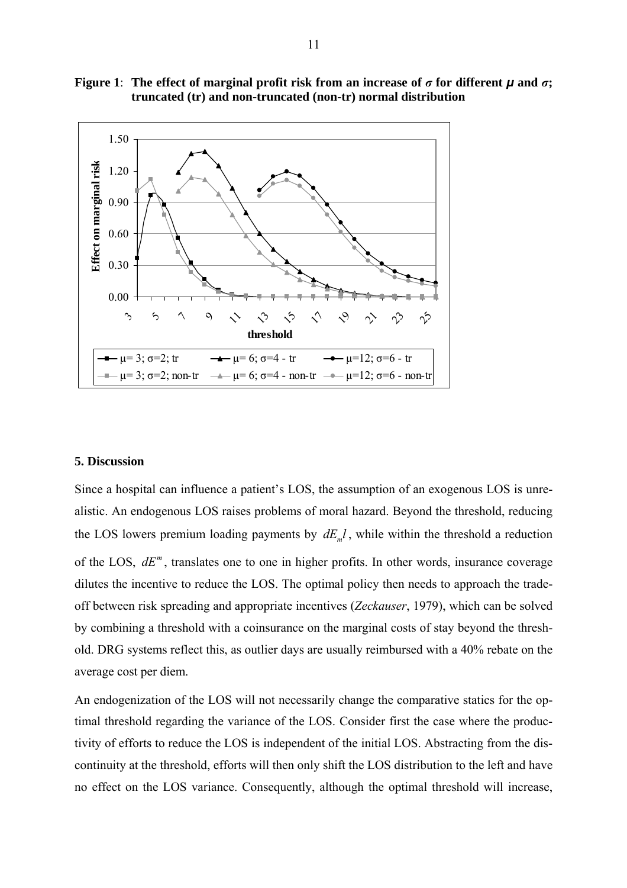

**Figure 1**: The effect of marginal profit risk from an increase of  $\sigma$  for different  $\mu$  and  $\sigma$ ; **truncated (tr) and non-truncated (non-tr) normal distribution** 

## **5. Discussion**

Since a hospital can influence a patient's LOS, the assumption of an exogenous LOS is unrealistic. An endogenous LOS raises problems of moral hazard. Beyond the threshold, reducing the LOS lowers premium loading payments by  $dE_m l$ , while within the threshold a reduction of the LOS,  $dE^m$ , translates one to one in higher profits. In other words, insurance coverage dilutes the incentive to reduce the LOS. The optimal policy then needs to approach the tradeoff between risk spreading and appropriate incentives (*Zeckauser*, 1979), which can be solved by combining a threshold with a coinsurance on the marginal costs of stay beyond the threshold. DRG systems reflect this, as outlier days are usually reimbursed with a 40% rebate on the average cost per diem.

An endogenization of the LOS will not necessarily change the comparative statics for the optimal threshold regarding the variance of the LOS. Consider first the case where the productivity of efforts to reduce the LOS is independent of the initial LOS. Abstracting from the discontinuity at the threshold, efforts will then only shift the LOS distribution to the left and have no effect on the LOS variance. Consequently, although the optimal threshold will increase,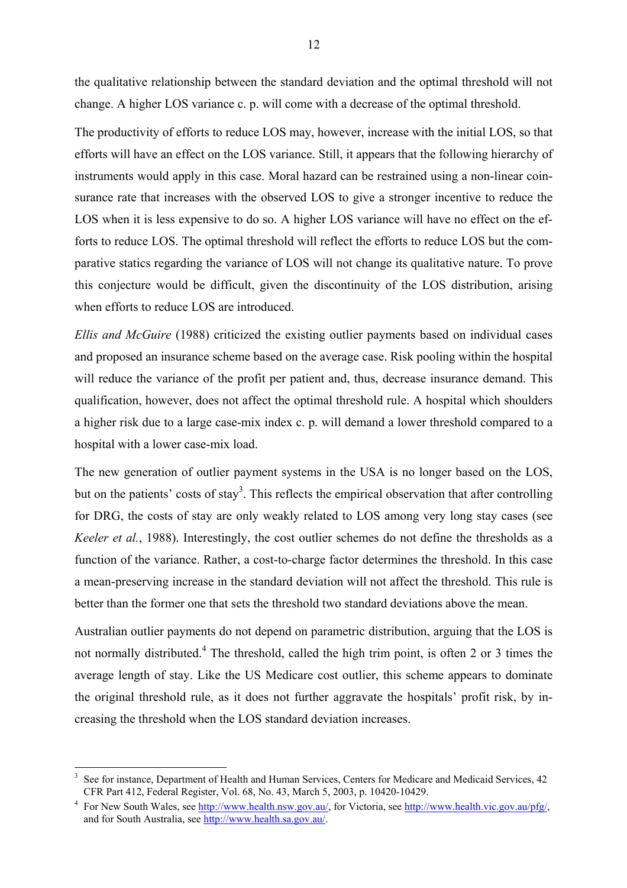the qualitative relationship between the standard deviation and the optimal threshold will not change. A higher LOS variance c. p. will come with a decrease of the optimal threshold.

The productivity of efforts to reduce LOS may, however, increase with the initial LOS, so that efforts will have an effect on the LOS variance. Still, it appears that the following hierarchy of instruments would apply in this case. Moral hazard can be restrained using a non-linear coinsurance rate that increases with the observed LOS to give a stronger incentive to reduce the LOS when it is less expensive to do so. A higher LOS variance will have no effect on the efforts to reduce LOS. The optimal threshold will reflect the efforts to reduce LOS but the comparative statics regarding the variance of LOS will not change its qualitative nature. To prove this conjecture would be difficult, given the discontinuity of the LOS distribution, arising when efforts to reduce LOS are introduced.

*Ellis and McGuire* (1988) criticized the existing outlier payments based on individual cases and proposed an insurance scheme based on the average case. Risk pooling within the hospital will reduce the variance of the profit per patient and, thus, decrease insurance demand. This qualification, however, does not affect the optimal threshold rule. A hospital which shoulders a higher risk due to a large case-mix index c. p. will demand a lower threshold compared to a hospital with a lower case-mix load.

The new generation of outlier payment systems in the USA is no longer based on the LOS, but on the patients' costs of stay<sup>3</sup>. This reflects the empirical observation that after controlling for DRG, the costs of stay are only weakly related to LOS among very long stay cases (see *Keeler et al.*, 1988). Interestingly, the cost outlier schemes do not define the thresholds as a function of the variance. Rather, a cost-to-charge factor determines the threshold. In this case a mean-preserving increase in the standard deviation will not affect the threshold. This rule is better than the former one that sets the threshold two standard deviations above the mean.

Australian outlier payments do not depend on parametric distribution, arguing that the LOS is not normally distributed.<sup>[4](#page-11-1)</sup> The threshold, called the high trim point, is often 2 or 3 times the average length of stay. Like the US Medicare cost outlier, this scheme appears to dominate the original threshold rule, as it does not further aggravate the hospitals' profit risk, by increasing the threshold when the LOS standard deviation increases.

 $\overline{a}$ 

<span id="page-11-0"></span><sup>3</sup> See for instance, Department of Health and Human Services, Centers for Medicare and Medicaid Services, 42 CFR Part 412, Federal Register, Vol. 68, No. 43, March 5, 2003, p. 10420-10429.

<span id="page-11-1"></span><sup>4</sup> For New South Wales, see [http://www.health.nsw.gov.au/,](http://www.health.nsw.gov.au/) for Victoria, see <http://www.health.vic.gov.au/pfg/>, and for South Australia, see [http://www.health.sa.gov.au/.](http://www.health.sa.gov.au/Default.aspx?tabid=57)